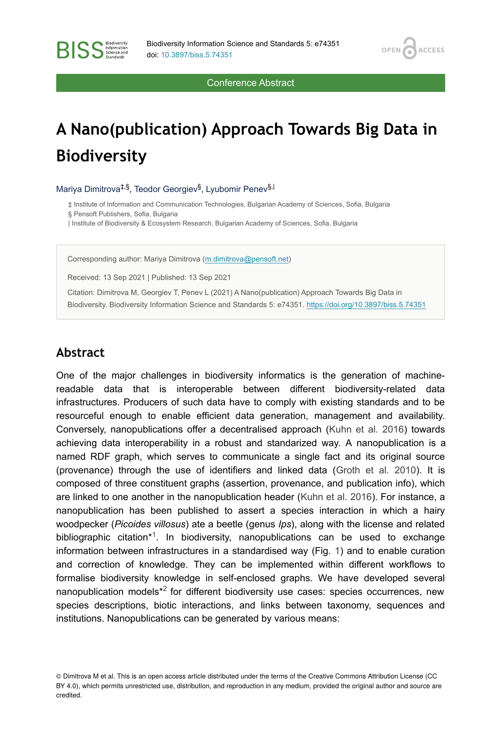**OPEN** 

**ACCESS** 

Conference Abstract

# **A Nano(publication) Approach Towards Big Data in Biodiversity**

Mariya Dimitrova<sup>‡,§</sup>, Teodor Georgiev<sup>§</sup>, Lyubomir Penev<sup>§,|</sup>

‡ Institute of Information and Communication Technologies, Bulgarian Academy of Sciences, Sofia, Bulgaria

§ Pensoft Publishers, Sofia, Bulgaria

**BISS** Steince and

| Institute of Biodiversity & Ecosystem Research, Bulgarian Academy of Sciences, Sofia, Bulgaria

Corresponding author: Mariya Dimitrova [\(m.dimitrova@pensoft.net](mailto:m.dimitrova@pensoft.net))

Received: 13 Sep 2021 | Published: 13 Sep 2021

Citation: Dimitrova M, Georgiev T, Penev L (2021) A Nano(publication) Approach Towards Big Data in Biodiversity. Biodiversity Information Science and Standards 5: e74351. <https://doi.org/10.3897/biss.5.74351>

## **Abstract**

One of the major challenges in biodiversity informatics is the generation of machinereadable data that is interoperable between different biodiversity-related data infrastructures. Producers of such data have to comply with existing standards and to be resourceful enough to enable efficient data generation, management and availability. Conversely, nanopublications offer a decentralised approach ([Kuhn et al. 2016\)](#page-2-0) towards achieving data interoperability in a robust and standarized way. A nanopublication is a named RDF graph, which serves to communicate a single fact and its original source (provenance) through the use of identifiers and linked data ([Groth et al. 2010](#page-2-1)). It is composed of three constituent graphs (assertion, provenance, and publication info), which are linked to one another in the nanopublication header ([Kuhn et al. 2016\)](#page-2-0). For instance, a nanopublication has been published to assert a species interaction in which a hairy woodpecker (*Picoides villosus*) ate a beetle (genus *Ips*), along with the license and related bibliographic citation $*$ <sup>1</sup>. In biodiversity, nanopublications can be used to exchange information between infrastructures in a standardised way (Fig. [1](#page-1-0)) and to enable curation and correction of knowledge. They can be implemented within different workflows to formalise biodiversity knowledge in self-enclosed graphs. We have developed several nanopublication models $*^2$  for different biodiversity use cases: species occurrences, new species descriptions, biotic interactions, and links between taxonomy, sequences and institutions. Nanopublications can be generated by various means:

<sup>©</sup> Dimitrova M et al. This is an open access article distributed under the terms of the Creative Commons Attribution License (CC BY 4.0), which permits unrestricted use, distribution, and reproduction in any medium, provided the original author and source are credited.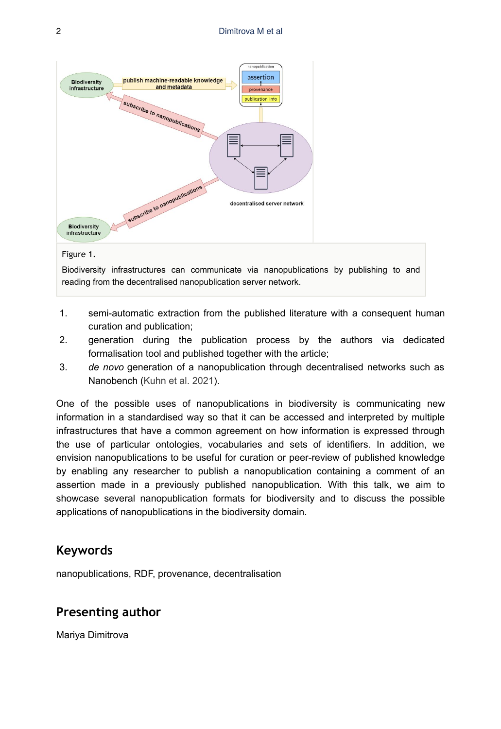<span id="page-1-0"></span>

#### Figure 1.

Biodiversity infrastructures can communicate via nanopublications by publishing to and reading from the decentralised nanopublication server network.

- 1. semi-automatic extraction from the published literature with a consequent human curation and publication;
- 2. generation during the publication process by the authors via dedicated formalisation tool and published together with the article;
- 3. *de novo* generation of a nanopublication through decentralised networks such as Nanobench ([Kuhn et al. 2021\)](#page-2-4).

One of the possible uses of nanopublications in biodiversity is communicating new information in a standardised way so that it can be accessed and interpreted by multiple infrastructures that have a common agreement on how information is expressed through the use of particular ontologies, vocabularies and sets of identifiers. In addition, we envision nanopublications to be useful for curation or peer-review of published knowledge by enabling any researcher to publish a nanopublication containing a comment of an assertion made in a previously published nanopublication. With this talk, we aim to showcase several nanopublication formats for biodiversity and to discuss the possible applications of nanopublications in the biodiversity domain.

# **Keywords**

nanopublications, RDF, provenance, decentralisation

# **Presenting author**

Mariya Dimitrova